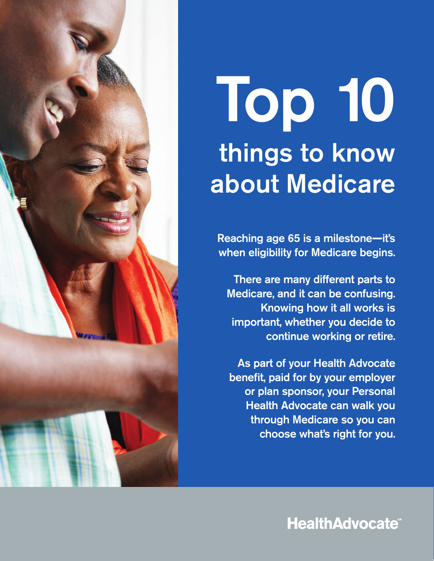# Top 10 things to know about Medicare

Reaching age 65 is a milestone**—**it's when eligibility for Medicare begins.

There are many different parts to Medicare, and it can be confusing. Knowing how it all works is important, whether you decide to continue working or retire.

As part of your Health Advocate benefit, paid for by your employer or plan sponsor, your Personal Health Advocate can walk you through Medicare so you can choose what's right for you.

## **HealthAdvocate®**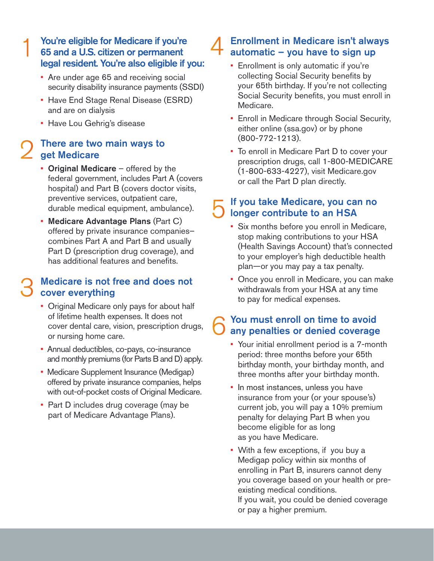#### You're eligible for Medicare if you're 65 and a U.S. citizen or permanent legal resident. You're also eligible if you:

- • Are under age 65 and receiving social security disability insurance payments (SSDI)
- • Have End Stage Renal Disease (ESRD) and are on dialysis
- Have Lou Gehrig's disease

#### There are two main ways to get Medicare

- Original Medicare offered by the federal government, includes Part A (covers hospital) and Part B (covers doctor visits, preventive services, outpatient care, durable medical equipment, ambulance).
- • Medicare Advantage Plans (Part C) offered by private insurance companies– combines Part A and Part B and usually Part D (prescription drug coverage), and has additional features and benefits.

#### Medicare is not free and does not cover everything

- • Original Medicare only pays for about half of lifetime health expenses. It does not cover dental care, vision, prescription drugs, or nursing home care.
- • Annual deductibles, co-pays, co-insurance and monthly premiums (for Parts B and D) apply.
- • Medicare Supplement Insurance (Medigap) offered by private insurance companies, helps with out-of-pocket costs of Original Medicare.
- • Part D includes drug coverage (may be part of Medicare Advantage Plans).

#### Enrollment in Medicare isn't always automatic – you have to sign up

- • Enrollment is only automatic if you're collecting Social Security benefits by your 65th birthday. If you're not collecting Social Security benefits, you must enroll in Medicare.
- • Enroll in Medicare through Social Security, either online (ssa.gov) or by phone (800-772-1213).
- • To enroll in Medicare Part D to cover your prescription drugs, call 1-800-MEDICARE (1-800-633-4227), visit [Medicare.gov](https://Medicare.gov) or call the Part D plan directly.

#### If you take Medicare, you can no longer contribute to an HSA

- • Six months before you enroll in Medicare, stop making contributions to your HSA (Health Savings Account) that's connected to your employer's high deductible health plan—or you may pay a tax penalty.
- • Once you enroll in Medicare, you can make withdrawals from your HSA at any time to pay for medical expenses.

#### You must enroll on time to avoid any penalties or denied coverage

- • Your initial enrollment period is a 7-month period: three months before your 65th birthday month, your birthday month, and three months after your birthday month.
- • In most instances, unless you have insurance from your (or your spouse's) current job, you will pay a 10% premium penalty for delaying Part B when you become eligible for as long as you have Medicare.
- • With a few exceptions, if you buy a Medigap policy within six months of enrolling in Part B, insurers cannot deny you coverage based on your health or preexisting medical conditions. If you wait, you could be denied coverage or pay a higher premium.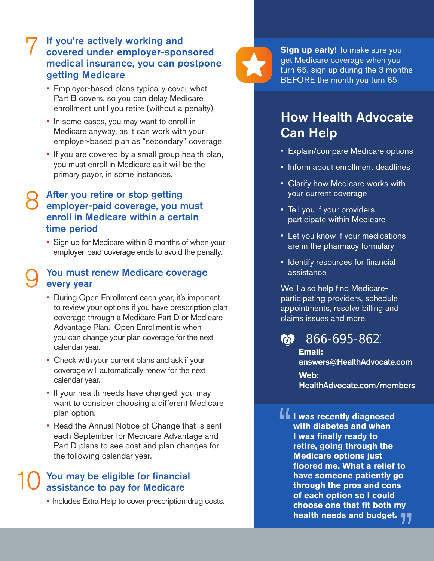#### If you're actively working and covered under employer-sponsored medical insurance, you can postpone getting Medicare

- • Employer-based plans typically cover what Part B covers, so you can delay Medicare enrollment until you retire (without a penalty).
- • In some cases, you may want to enroll in Medicare anyway, as it can work with your employer-based plan as "secondary" coverage.
- • If you are covered by a small group health plan, you must enroll in Medicare as it will be the primary payor, in some instances.

### After you retire or stop getting employer-paid coverage, you must enroll in Medicare within a certain time period

 • Sign up for Medicare within 8 months of when your employer-paid coverage ends to avoid the penalty.

#### You must renew Medicare coverage every year

- • During Open Enrollment each year, it's important you can change your plan coverage for the next to review your options if you have prescription plan coverage through a Medicare Part D or Medicare Advantage Plan. Open Enrollment is when calendar year.
- • Check with your current plans and ask if your calendar year. coverage will automatically renew for the next
- • If your health needs have changed, you may want to consider choosing a different Medicare plan option.
- • Read the Annual Notice of Change that is sent each September for Medicare Advantage and Part D plans to see cost and plan changes for the following calendar year.

#### You may be eligible for financial assistance to pay for Medicare

• Includes Extra Help to cover prescription drug costs.



**Sign up early!** To make sure you get Medicare coverage when you turn 65, sign up during the 3 months BEFORE the month you turn 65.

## How Health Advocate Can Help

- Explain/compare Medicare options
- Inform about enrollment deadlines
- Clarify how Medicare works with your current coverage
- Tell you if your providers participate within Medicare
- Let you know if your medications are in the pharmacy formulary
- Identify resources for financial assistance

We'll also help find Medicareparticipating providers, schedule appointments, resolve billing and claims issues and more.

## $\bullet$  866-695-862

**Email:**  [answers@HealthAdvocate.com](mailto:answers@HealthAdvocate.com)  **Web:**  [HealthAdvocate.com/members](https://HealthAdvocate.com/members)

**If I was recently diagnosed with diabetes and when I** was finally ready to **retire, going through the Medicare options just foored me. What a relief to have someone patiently go through the pros and cons of each option so I could choose one that fit both my health needs and budget.**